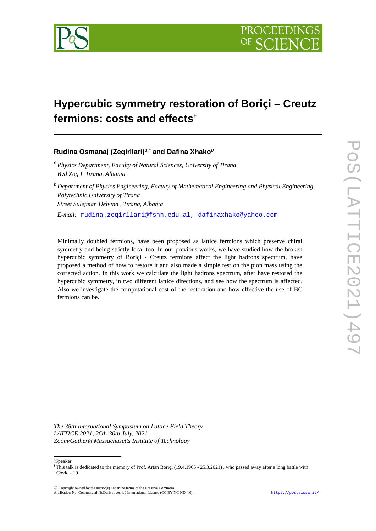

# **Hypercubic symmetry restoration of Boriçi – Creutz fermions: costs and effects†**

**Rudina Osmanaj (Zeqirllari)***a,[\\*](#page-0-0)*  **and Dafina Xhako***<sup>b</sup>*

*<sup>a</sup>Physics Department, Faculty of Natural Sciences, University of Tirana Bvd Zog I, Tirana, Albania*

*<sup>b</sup>Department of Physics Engineering, Faculty of Mathematical Engineering and Physical Engineering, Polytechnic University of Tirana Street Sulejman Delvina , Tirana, Albania E-mail:* [rudina.zeqirllari@fshn.edu.al,](mailto:f.authorrudina.zeqirllari@fshn.edu.al) dafinaxhako@yahoo.com

Minimally doubled fermions, have been proposed as lattice fermions which preserve chiral symmetry and being strictly local too. In our previous works, we have studied how the broken hypercubic symmetry of Boriçi - Creutz fermions affect the light hadrons spectrum, have proposed a method of how to restore it and also made a simple test on the pion mass using the corrected action. In this work we calculate the light hadrons spectrum, after have restored the hypercubic symmetry, in two different lattice directions, and see how the spectrum is affected. Also we investigate the computational cost of the restoration and how effective the use of BC fermions can be.

*The 38th International Symposium on Lattice Field Theory LATTICE 2021, 26th-30th July, 2021 Zoom/Gather@Massachusetts Institute of Technology*

<span id="page-0-0"></span>\*Speaker

Copyright owned by the author(s) under the terms of the Creative Commons

Attribution-NonCommercial-NoDerivatives 4.0 International License (CC BY-NC-ND 4.0). [https://pos.sissa.it/](http://pos.sissa.it/)

<sup>†</sup>This talk is dedicated to the memory of Prof. Artan Boriçi (19.4.1965 - 25.3.2021) , who passed away after a long battle with Covid - 19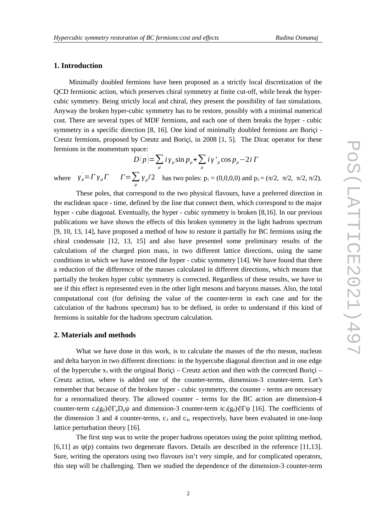## **1. Introduction**

Minimally doubled fermions have been proposed as a strictly local discretization of the QCD fermionic action, which preserves chiral symmetry at finite cut-off, while break the hypercubic symmetry. Being strictly local and chiral, they present the possibility of fast simulations. Anyway the broken hyper-cubic symmetry has to be restore, possibly with a minimal numerical cost. There are several types of MDF fermions, and each one of them breaks the hyper - cubic symmetry in a specific direction [8, 16]. One kind of minimally doubled fermions are Borici -Creutz fermions, proposed by Creutz and Boriçi, in 2008 [1, 5]. The Dirac operator for these fermions in the momentum space:

 $D(p) = \sum_{\mu} i \gamma_{\mu} \sin p_{\mu} + \sum_{\mu}$ *iγ' μ* cos *pμ*−2*i Γ* where  $\gamma_{\mu} = \Gamma \gamma_{\mu} \Gamma$   $\Gamma = \sum$ *μ*<sub>*μ*</sub>  $\left(\frac{y}{\mu}\right)^2$  has two poles: p<sub>1</sub> = (0,0,0,0) and p<sub>2</sub> = (π/2, π/2, π/2, π/2).

These poles, that correspond to the two physical flavours, have a preferred direction in the euclidean space - time, defined by the line that connect them, which correspond to the major hyper - cube diagonal. Eventually, the hyper - cubic symmetry is broken [8,16]. In our previous publications we have shown the effects of this broken symmetry in the light hadrons spectrum [9, 10, 13, 14], have proposed a method of how to restore it partially for BC fermions using the chiral condensate [12, 13, 15] and also have presented some preliminary results of the calculations of the charged pion mass, in two different lattice directions, using the same conditions in which we have restored the hyper - cubic symmetry [14]. We have found that there a reduction of the difference of the masses calculated in different directions, which means that partially the broken hyper cubic symmetry is corrected. Regardless of these results, we have to see if this effect is represented even in the other light mesons and baryons masses. Also, the total computational cost (for defining the value of the counter-term in each case and for the calculation of the hadrons spectrum) has to be defined, in order to understand if this kind of fermions is suitable for the hadrons spectrum calculation.

### **2. Materials and methods**

What we have done in this work, is to calculate the masses of the rho meson, nucleon and delta baryon in two different directions: in the hypercube diagonal direction and in one edge of the hypercube  $x_1$  with the original Borici – Creutz action and then with the corrected Borici – Creutz action, where is added one of the counter-terms, dimension-3 counter-term. Let's remember that because of the broken hyper - cubic symmetry, the counter - terms are necessary for a renormalized theory. The allowed counter - terms for the BC action are dimension-4 counter-term  $c_4(g_0)\text{Tr}_{\mu}D_{\mu}\psi$  and dimension-3 counter-term ic<sub>3</sub>(g<sub>0</sub>)  $\text{Tr}\psi$  [16]. The coefficients of the dimension 3 and 4 counter-terms,  $c_3$  and  $c_4$ , respectively, have been evaluated in one-loop lattice perturbation theory [16].

The first step was to write the proper hadrons operators using the point splitting method, [6,11] as  $\psi(p)$  contains two degenerate flavors. Details are described in the reference [11,13]. Sure, writing the operators using two flavours isn't very simple, and for complicated operators, this step will be challenging. Then we studied the dependence of the dimension-3 counter-term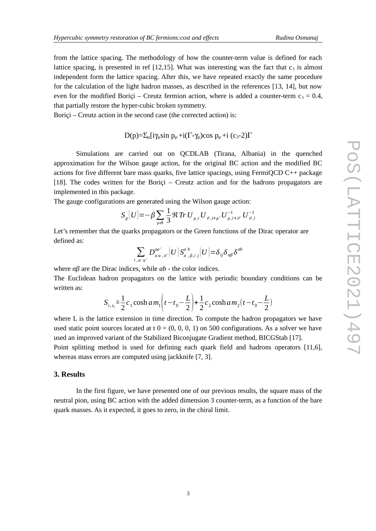from the lattice spacing. The methodology of how the counter-term value is defined for each lattice spacing, is presented in ref [12,15]. What was interesting was the fact that  $c_3$  is almost independent form the lattice spacing. After this, we have repeated exactly the same procedure for the calculation of the light hadron masses, as described in the references [13, 14], but now even for the modified Boriçi – Creutz fermion action, where is added a counter-term  $c_3 = 0.4$ , that partially restore the hyper-cubic broken symmetry.

Borici – Creutz action in the second case (the corrected action) is:

$$
D(p)=\Sigma_{\mu}[i\gamma_{\mu}\sin p_{\mu}+i(\Gamma-\gamma_{\mu})\cos p_{\mu}+i(c_3-2)\Gamma
$$

Simulations are carried out on QCDLAB (Tirana, Albania) in the quenched approximation for the Wilson gauge action, for the original BC action and the modified BC actions for five different bare mass quarks, five lattice spacings, using FermiQCD C++ package [18]. The codes written for the Boriçi – Creutz action and for the hadrons propagators are implemented in this package.

The gauge configurations are generated using the Wilson gauge action:

$$
S_g[U] = -\beta \sum_{\mu \partial i} \frac{1}{3} \Re \operatorname{Tr} U_{\mu,i} U_{\vartheta,i+\mu} U_{\mu,i+\vartheta}^{-1} U_{\vartheta,i}^{-1}
$$

Let's remember that the quarks propagators or the Green functions of the Dirac operator are defined as:

$$
\sum_{i',\alpha'\alpha'} D^{aa'}_{\alpha\alpha',ii'}[U] S^{a'b}_{\alpha',\beta,i'j}[U] = \delta_{ij} \delta_{\alpha\beta} \delta^{ab}
$$

where *αβ* are the Dirac indices, while *ab* - the color indices.

The Euclidean hadron propagators on the lattice with periodic boundary conditions can be written as:

$$
S_{t,t_0} \approx \frac{1}{2} c_1 \cosh a \, m_1 \left( t - t_0 - \frac{L}{2} \right) + \frac{1}{2} c_2 \cosh a \, m_2 \left( t - t_0 - \frac{L}{2} \right)
$$

where L is the lattice extension in time direction. To compute the hadron propagators we have used static point sources located at  $t = (0, 0, 0, 1)$  on 500 configurations. As a solver we have used an improved variant of the Stabilized Biconjugate Gradient method, BICGStab [17].

Point splitting method is used for defining each quark field and hadrons operators [11,6], whereas mass errors are computed using jackknife [7, 3].

#### **3. Results**

In the first figure, we have presented one of our previous results, the square mass of the neutral pion, using BC action with the added dimension 3 counter-term, as a function of the bare quark masses. As it expected, it goes to zero, in the chiral limit.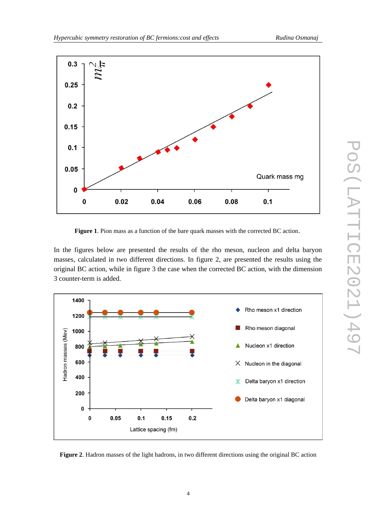

**Figure 1**. Pion mass as a function of the bare quark masses with the corrected BC action.

In the figures below are presented the results of the rho meson, nucleon and delta baryon masses, calculated in two different directions. In figure 2, are presented the results using the original BC action, while in figure 3 the case when the corrected BC action, with the dimension 3 counter-term is added.



**Figure 2**. Hadron masses of the light hadrons, in two different directions using the original BC action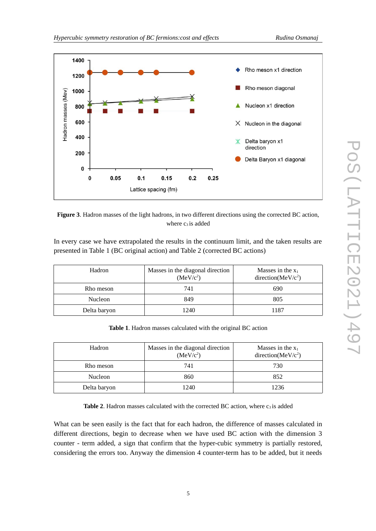



In every case we have extrapolated the results in the continuum limit, and the taken results are presented in Table 1 (BC original action) and Table 2 (corrected BC actions)

| Hadron       | Masses in the diagonal direction<br>(MeV/c <sup>2</sup> ) | Masses in the $x_1$<br>direction( $MeV/c2$ ) |
|--------------|-----------------------------------------------------------|----------------------------------------------|
| Rho meson    | 741                                                       | 690                                          |
| Nucleon      | 849                                                       | 805                                          |
| Delta baryon | 1240                                                      | 1187                                         |

|  |  |  | Table 1. Hadron masses calculated with the original BC action |  |  |  |  |  |
|--|--|--|---------------------------------------------------------------|--|--|--|--|--|
|--|--|--|---------------------------------------------------------------|--|--|--|--|--|

| Hadron       | Masses in the diagonal direction<br>(MeV/c <sup>2</sup> ) | Masses in the $x_1$<br>direction( $MeV/c2$ ) |
|--------------|-----------------------------------------------------------|----------------------------------------------|
| Rho meson    | 741                                                       | 730                                          |
| Nucleon      | 860                                                       | 852                                          |
| Delta baryon | 1240                                                      | 1236                                         |

**Table 2.** Hadron masses calculated with the corrected BC action, where  $c_3$  is added

What can be seen easily is the fact that for each hadron, the difference of masses calculated in different directions, begin to decrease when we have used BC action with the dimension 3 counter - term added, a sign that confirm that the hyper-cubic symmetry is partially restored, considering the errors too. Anyway the dimension 4 counter-term has to be added, but it needs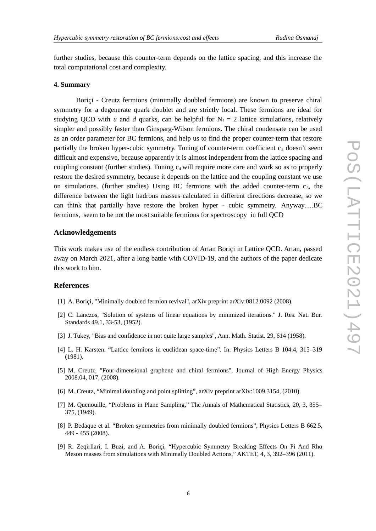further studies, because this counter-term depends on the lattice spacing, and this increase the total computational cost and complexity.

#### **4. Summary**

Boriçi - Creutz fermions (minimally doubled fermions) are known to preserve chiral symmetry for a degenerate quark doublet and are strictly local. These fermions are ideal for studying QCD with *u* and *d* quarks, can be helpful for  $N_f = 2$  lattice simulations, relatively simpler and possibly faster than Ginsparg-Wilson fermions. The chiral condensate can be used as an order parameter for BC fermions, and help us to find the proper counter-term that restore partially the broken hyper-cubic symmetry. Tuning of counter-term coefficient  $c_3$  doesn't seem difficult and expensive, because apparently it is almost independent from the lattice spacing and coupling constant (further studies). Tuning  $c_4$  will require more care and work so as to properly restore the desired symmetry, because it depends on the lattice and the coupling constant we use on simulations. (further studies) Using BC fermions with the added counter-term  $c_3$ , the difference between the light hadrons masses calculated in different directions decrease, so we can think that partially have restore the broken hyper - cubic symmetry. Anyway….BC fermions, seem to be not the most suitable fermions for spectroscopy in full QCD

## **Acknowledgements**

This work makes use of the endless contribution of Artan Boriçi in Lattice QCD. Artan, passed away on March 2021, after a long battle with COVID-19, and the authors of the paper dedicate this work to him.

## **References**

- [1] A. Boriçi, "Minimally doubled fermion revival", arXiv preprint arXiv:0812.0092 (2008).
- [2] C. Lanczos, "Solution of systems of linear equations by minimized iterations." J. Res. Nat. Bur. Standards 49.1, 33-53, (1952).
- [3] J. Tukey, "Bias and confidence in not quite large samples", Ann. Math. Statist. 29, 614 (1958).
- [4] L. H. Karsten. "Lattice fermions in euclidean space-time". In: Physics Letters B 104.4, 315–319 (1981).
- [5] M. Creutz, "Four-dimensional graphene and chiral fermions", Journal of High Energy Physics 2008.04, 017, (2008).
- [6] M. Creutz, "Minimal doubling and point splitting", arXiv preprint arXiv:1009.3154, (2010).
- [7] M. Quenouille, "Problems in Plane Sampling," The Annals of Mathematical Statistics, 20, 3, 355– 375, (1949).
- [8] P. Bedaque et al. "Broken symmetries from minimally doubled fermions", Physics Letters B 662.5, 449 - 455 (2008).
- [9] R. Zeqirllari, I. Buzi, and A. Boriçi, "Hypercubic Symmetry Breaking Effects On Pi And Rho Meson masses from simulations with Minimally Doubled Actions," AKTET, 4, 3, 392–396 (2011).